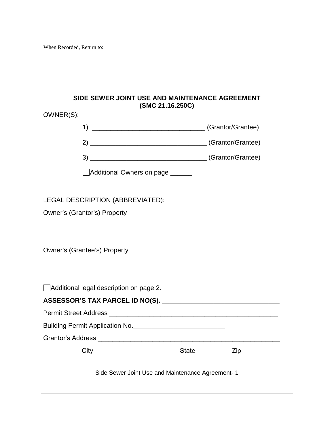| When Recorded, Return to:                         |              |     |
|---------------------------------------------------|--------------|-----|
|                                                   |              |     |
|                                                   |              |     |
| SIDE SEWER JOINT USE AND MAINTENANCE AGREEMENT    |              |     |
| (SMC 21.16.250C)<br>OWNER(S):                     |              |     |
|                                                   |              |     |
|                                                   |              |     |
|                                                   |              |     |
| Additional Owners on page                         |              |     |
|                                                   |              |     |
| LEGAL DESCRIPTION (ABBREVIATED):                  |              |     |
| Owner's (Grantor's) Property                      |              |     |
|                                                   |              |     |
| Owner's (Grantee's) Property                      |              |     |
|                                                   |              |     |
|                                                   |              |     |
| □ Additional legal description on page 2.         |              |     |
|                                                   |              |     |
|                                                   |              |     |
|                                                   |              |     |
|                                                   |              |     |
| City                                              | <b>State</b> | Zip |
|                                                   |              |     |
| Side Sewer Joint Use and Maintenance Agreement- 1 |              |     |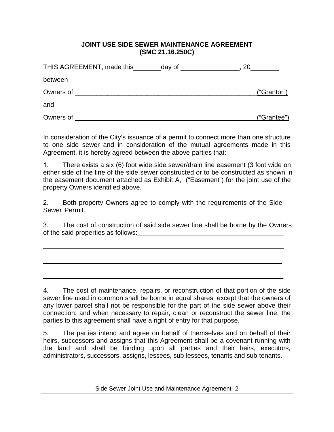| JOINT USE SIDE SEWER MAINTENANCE AGREEMENT<br>(SMC 21.16.250C)                                                                                                                                                                                                                                                                                                                                                                                                                                                                                                                                                                                                                                                                                                                        |
|---------------------------------------------------------------------------------------------------------------------------------------------------------------------------------------------------------------------------------------------------------------------------------------------------------------------------------------------------------------------------------------------------------------------------------------------------------------------------------------------------------------------------------------------------------------------------------------------------------------------------------------------------------------------------------------------------------------------------------------------------------------------------------------|
| THIS AGREEMENT, made this ________day of _________________, 20_________                                                                                                                                                                                                                                                                                                                                                                                                                                                                                                                                                                                                                                                                                                               |
|                                                                                                                                                                                                                                                                                                                                                                                                                                                                                                                                                                                                                                                                                                                                                                                       |
| ("Grantor")                                                                                                                                                                                                                                                                                                                                                                                                                                                                                                                                                                                                                                                                                                                                                                           |
|                                                                                                                                                                                                                                                                                                                                                                                                                                                                                                                                                                                                                                                                                                                                                                                       |
| ("Grantee")                                                                                                                                                                                                                                                                                                                                                                                                                                                                                                                                                                                                                                                                                                                                                                           |
| In consideration of the City's issuance of a permit to connect more than one structure<br>to one side sewer and in consideration of the mutual agreements made in this<br>Agreement, it is hereby agreed between the above-parties that:                                                                                                                                                                                                                                                                                                                                                                                                                                                                                                                                              |
| There exists a six (6) foot wide side sewer/drain line easement (3 foot wide on<br>1.<br>either side of the line of the side sewer constructed or to be constructed as shown in<br>the easement document attached as Exhibit A, ("Easement") for the joint use of the<br>property Owners identified above.                                                                                                                                                                                                                                                                                                                                                                                                                                                                            |
| 2. Both property Owners agree to comply with the requirements of the Side<br>Sewer Permit.                                                                                                                                                                                                                                                                                                                                                                                                                                                                                                                                                                                                                                                                                            |
| 3.<br>The cost of construction of said side sewer line shall be borne by the Owners                                                                                                                                                                                                                                                                                                                                                                                                                                                                                                                                                                                                                                                                                                   |
|                                                                                                                                                                                                                                                                                                                                                                                                                                                                                                                                                                                                                                                                                                                                                                                       |
|                                                                                                                                                                                                                                                                                                                                                                                                                                                                                                                                                                                                                                                                                                                                                                                       |
| The cost of maintenance, repairs, or reconstruction of that portion of the side<br>4.<br>sewer line used in common shall be borne in equal shares, except that the owners of<br>any lower parcel shall not be responsible for the part of the side sewer above their<br>connection; and when necessary to repair, clean or reconstruct the sewer line, the<br>parties to this agreement shall have a right of entry for that purpose.<br>The parties intend and agree on behalf of themselves and on behalf of their<br>5.<br>heirs, successors and assigns that this Agreement shall be a covenant running with<br>the land and shall be binding upon all parties and their heirs, executors,<br>administrators, successors, assigns, lessees, sub-lessees, tenants and sub-tenants. |
|                                                                                                                                                                                                                                                                                                                                                                                                                                                                                                                                                                                                                                                                                                                                                                                       |

Side Sewer Joint Use and Maintenance Agreement- 2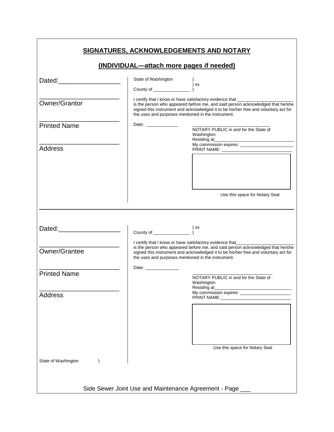| <b>SIGNATURES, ACKNOWLEDGEMENTS AND NOTARY</b> |                                                                                                                                                                                                                                                                                                                                                                                                                                                                                                  |                                                                                                                                                                                                                                           |  |
|------------------------------------------------|--------------------------------------------------------------------------------------------------------------------------------------------------------------------------------------------------------------------------------------------------------------------------------------------------------------------------------------------------------------------------------------------------------------------------------------------------------------------------------------------------|-------------------------------------------------------------------------------------------------------------------------------------------------------------------------------------------------------------------------------------------|--|
|                                                | (INDIVIDUAL—attach more pages if needed)                                                                                                                                                                                                                                                                                                                                                                                                                                                         |                                                                                                                                                                                                                                           |  |
| Dated: <u>______________________</u>           |                                                                                                                                                                                                                                                                                                                                                                                                                                                                                                  |                                                                                                                                                                                                                                           |  |
|                                                |                                                                                                                                                                                                                                                                                                                                                                                                                                                                                                  |                                                                                                                                                                                                                                           |  |
| Owner/Grantor                                  | the uses and purposes mentioned in the instrument.                                                                                                                                                                                                                                                                                                                                                                                                                                               | I certify that I know or have satisfactory evidence that<br>is the person who appeared before me, and said person acknowledged that he/she<br>signed this instrument and acknowledged it to be his/her free and voluntary act for         |  |
| <b>Printed Name</b>                            | Date: ______________                                                                                                                                                                                                                                                                                                                                                                                                                                                                             | NOTARY PUBLIC in and for the State of<br>Washington                                                                                                                                                                                       |  |
| <b>Address</b>                                 |                                                                                                                                                                                                                                                                                                                                                                                                                                                                                                  |                                                                                                                                                                                                                                           |  |
|                                                |                                                                                                                                                                                                                                                                                                                                                                                                                                                                                                  |                                                                                                                                                                                                                                           |  |
|                                                |                                                                                                                                                                                                                                                                                                                                                                                                                                                                                                  | Use this space for Notary Seal                                                                                                                                                                                                            |  |
|                                                | $\begin{tabular}{c} \textbf{Country of} \end{tabular} \end{tabular} \begin{tabular}{c} \begin{tabular}{c} \multicolumn{1}{c}{} \multicolumn{1}{c}{} \multicolumn{1}{c}{} \multicolumn{1}{c}{} \multicolumn{1}{c}{} \multicolumn{1}{c}{} \multicolumn{1}{c}{} \multicolumn{1}{c}{} \multicolumn{1}{c}{} \multicolumn{1}{c}{} \multicolumn{1}{c}{} \multicolumn{1}{c}{} \multicolumn{1}{c}{} \multicolumn{1}{c}{} \multicolumn{1}{c}{} \multicolumn{1}{c}{} \multicolumn{1}{c}{} \multicolumn{1}{$ |                                                                                                                                                                                                                                           |  |
| Owner/Grantee                                  | the uses and purposes mentioned in the instrument.                                                                                                                                                                                                                                                                                                                                                                                                                                               | I certify that I know or have satisfactory evidence that________<br>is the person who appeared before me, and said person acknowledged that he/she<br>signed this instrument and acknowledged it to be his/her free and voluntary act for |  |
| <b>Printed Name</b>                            | Date: __________________                                                                                                                                                                                                                                                                                                                                                                                                                                                                         |                                                                                                                                                                                                                                           |  |
|                                                |                                                                                                                                                                                                                                                                                                                                                                                                                                                                                                  | NOTARY PUBLIC in and for the State of<br>Washington<br>Residing at_________                                                                                                                                                               |  |
| <b>Address</b>                                 |                                                                                                                                                                                                                                                                                                                                                                                                                                                                                                  | PRINT NAME: 2008 2010 12:00:00 PRINT NAME:                                                                                                                                                                                                |  |
|                                                |                                                                                                                                                                                                                                                                                                                                                                                                                                                                                                  |                                                                                                                                                                                                                                           |  |
|                                                |                                                                                                                                                                                                                                                                                                                                                                                                                                                                                                  |                                                                                                                                                                                                                                           |  |
|                                                |                                                                                                                                                                                                                                                                                                                                                                                                                                                                                                  | Use this space for Notary Seal                                                                                                                                                                                                            |  |
| State of Washington                            |                                                                                                                                                                                                                                                                                                                                                                                                                                                                                                  |                                                                                                                                                                                                                                           |  |
|                                                |                                                                                                                                                                                                                                                                                                                                                                                                                                                                                                  | Side Sewer Joint Use and Maintenance Agreement - Page ___                                                                                                                                                                                 |  |

Г